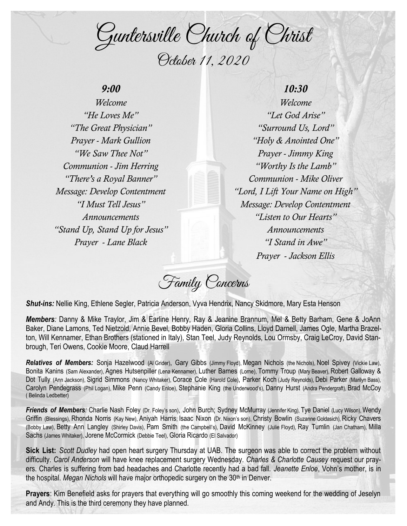Guntersville Church of Christ October 11, 2020

## *9:00*

*Welcome "He Loves Me" "The Great Physician" Prayer - Mark Gullion "We Saw Thee Not" Communion - Jim Herring "There's a Royal Banner" Message: Develop Contentment "I Must Tell Jesus" Announcements "Stand Up, Stand Up for Jesus" Prayer - Lane Black*

*Welcome "Let God Arise" "Surround Us, Lord" "Holy & Anointed One" Prayer - Jimmy King "Worthy Is the Lamb" Communion - Mike Oliver "Lord, I Lift Your Name on High" Message: Develop Contentment "Listen to Our Hearts" Announcements "I Stand in Awe" Prayer - Jackson Ellis*

*10:30*

Family Concerns

*Shut-ins:* Nellie King, Ethlene Segler, Patricia Anderson, Vyva Hendrix, Nancy Skidmore, Mary Esta Henson

*Members:* Danny & Mike Traylor, Jim & Earline Henry, Ray & Jeanine Brannum, Mel & Betty Barham, Gene & JoAnn Baker, Diane Lamons, Ted Nietzold, Annie Bevel, Bobby Haden, Gloria Collins, Lloyd Darnell, James Ogle, Martha Brazelton, Will Kennamer, Ethan Brothers (stationed in Italy), Stan Teel, Judy Reynolds, Lou Ormsby, Craig LeCroy, David Stanbrough, Teri Owens, Cookie Moore, Claud Harrell

*Relatives of Members:* Sonja Hazelwood (Al Grider), Gary Gibbs (Jimmy Floyd), Megan Nichols (the Nichols), Noel Spivey (Vickie Law), Bonita Kanins (Sam Alexander), Agnes Hutsenpiller (Lena Kennamer), Luther Barnes (Lorne), Tommy Troup (Mary Beaver), Robert Galloway & Dot Tully (Ann Jackson), Sigrid Simmons (Nancy Whitaker), Corace Cole (Harold Cole), Parker Koch (Judy Reynolds), Debi Parker (Marilyn Bass), Carolyn Pendegrass (Phil Logan), Mike Penn (Candy Enloe), Stephanie King (the Underwood's), Danny Hurst (Andra Pendergraft), Brad McCoy ( Belinda Ledbetter)

*Friends of Members:* Charlie Nash Foley (Dr. Foley's son), John Burch; Sydney McMurray (Jennifer King), Tye Daniel (Lucy Wilson), Wendy Griffin (Blessings), Rhonda Norris (Kay New), Aniyah Harris; Isaac Nixon (Dr. Nixon's son), Christy Bowlin (Suzanne Goldasich), Ricky Chavers (Bobby Law), Betty Ann Langley (Shirley Davis), Pam Smith (the Campbell's), David McKinney (Julie Floyd), Ray Tumlin (Jan Chatham), Milla Sachs (James Whitaker), Jorene McCormick (Debbie Teel), Gloria Ricardo (El Salvador)

**Sick List:** *Scott Dudley* had open heart surgery Thursday at UAB. The surgeon was able to correct the problem without difficulty. *Carol Anderson* will have knee replacement surgery Wednesday. *Charles & Charlotte Causey* request our prayers. Charles is suffering from bad headaches and Charlotte recently had a bad fall. *Jeanette Enloe*, Vohn's mother, is in the hospital. *Megan Nichols* will have major orthopedic surgery on the 30th in Denver.

**Prayers**: Kim Benefield asks for prayers that everything will go smoothly this coming weekend for the wedding of Jeselyn and Andy. This is the third ceremony they have planned.